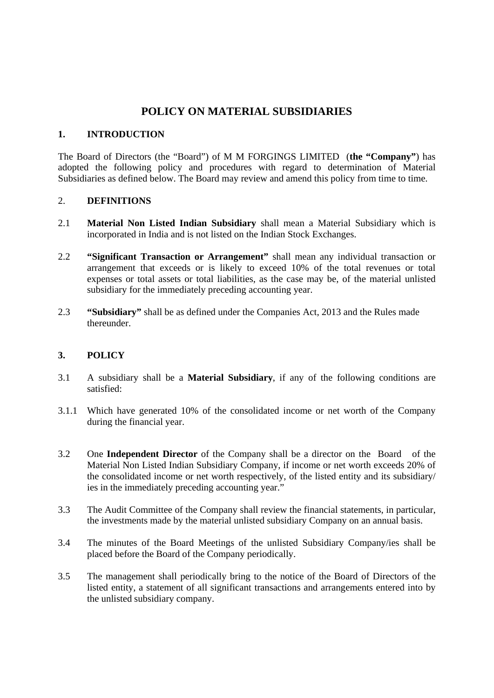# **POLICY ON MATERIAL SUBSIDIARIES**

#### **1. INTRODUCTION**

The Board of Directors (the "Board") of M M FORGINGS LIMITED (**the "Company"**) has adopted the following policy and procedures with regard to determination of Material Subsidiaries as defined below. The Board may review and amend this policy from time to time.

#### 2. **DEFINITIONS**

- 2.1 **Material Non Listed Indian Subsidiary** shall mean a Material Subsidiary which is incorporated in India and is not listed on the Indian Stock Exchanges.
- 2.2 **"Significant Transaction or Arrangement"** shall mean any individual transaction or arrangement that exceeds or is likely to exceed 10% of the total revenues or total expenses or total assets or total liabilities, as the case may be, of the material unlisted subsidiary for the immediately preceding accounting year.
- 2.3 **"Subsidiary"** shall be as defined under the Companies Act, 2013 and the Rules made thereunder.

### **3. POLICY**

- 3.1 A subsidiary shall be a **Material Subsidiary**, if any of the following conditions are satisfied:
- 3.1.1 Which have generated 10% of the consolidated income or net worth of the Company during the financial year.
- 3.2 One **Independent Director** of the Company shall be a director on the Board of the Material Non Listed Indian Subsidiary Company, if income or net worth exceeds 20% of the consolidated income or net worth respectively, of the listed entity and its subsidiary/ ies in the immediately preceding accounting year."
- 3.3 The Audit Committee of the Company shall review the financial statements, in particular, the investments made by the material unlisted subsidiary Company on an annual basis.
- 3.4 The minutes of the Board Meetings of the unlisted Subsidiary Company/ies shall be placed before the Board of the Company periodically.
- 3.5 The management shall periodically bring to the notice of the Board of Directors of the listed entity, a statement of all significant transactions and arrangements entered into by the unlisted subsidiary company.